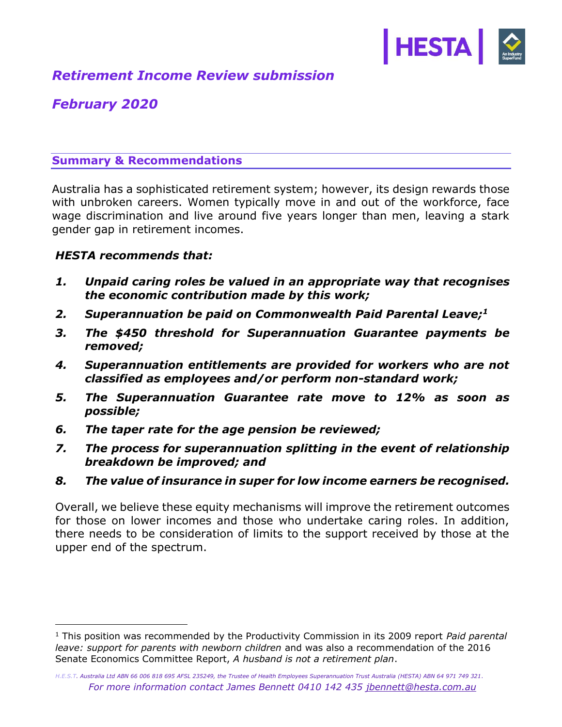

# *Retirement Income Review submission*

# *February 2020*

# **Summary & Recommendations**

Australia has a sophisticated retirement system; however, its design rewards those with unbroken careers. Women typically move in and out of the workforce, face wage discrimination and live around five years longer than men, leaving a stark gender gap in retirement incomes.

# *HESTA recommends that:*

i<br>I

- *1. Unpaid caring roles be valued in an appropriate way that recognises the economic contribution made by this work;*
- *2. Superannuation be paid on Commonwealth Paid Parental Leave; 1*
- *3. The \$450 threshold for Superannuation Guarantee payments be removed;*
- *4. Superannuation entitlements are provided for workers who are not classified as employees and/or perform non-standard work;*
- *5. The Superannuation Guarantee rate move to 12% as soon as possible;*
- *6. The taper rate for the age pension be reviewed;*
- *7. The process for superannuation splitting in the event of relationship breakdown be improved; and*
- *8. The value of insurance in super for low income earners be recognised.*

Overall, we believe these equity mechanisms will improve the retirement outcomes for those on lower incomes and those who undertake caring roles. In addition, there needs to be consideration of limits to the support received by those at the upper end of the spectrum.

<sup>1</sup> This position was recommended by the Productivity Commission in its 2009 report *Paid parental leave: support for parents with newborn children* and was also a recommendation of the 2016 Senate Economics Committee Report, *A husband is not a retirement plan*.

*H.E.S.T. Australia Ltd ABN 66 006 818 695 AFSL 235249, the Trustee of Health Employees Superannuation Trust Australia (HESTA) ABN 64 971 749 321. For more information contact James Bennett 0410 142 435 [jbennett@hesta.com.au](mailto:jbennett@hesta.com.au)*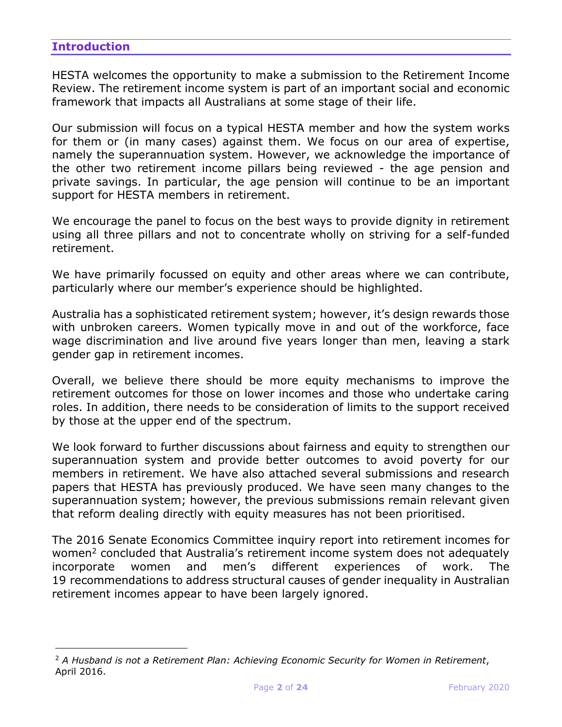# **Introduction**

i<br>I

HESTA welcomes the opportunity to make a submission to the Retirement Income Review. The retirement income system is part of an important social and economic framework that impacts all Australians at some stage of their life.

Our submission will focus on a typical HESTA member and how the system works for them or (in many cases) against them. We focus on our area of expertise, namely the superannuation system. However, we acknowledge the importance of the other two retirement income pillars being reviewed - the age pension and private savings. In particular, the age pension will continue to be an important support for HESTA members in retirement.

We encourage the panel to focus on the best ways to provide dignity in retirement using all three pillars and not to concentrate wholly on striving for a self-funded retirement.

We have primarily focussed on equity and other areas where we can contribute, particularly where our member's experience should be highlighted.

Australia has a sophisticated retirement system; however, it's design rewards those with unbroken careers. Women typically move in and out of the workforce, face wage discrimination and live around five years longer than men, leaving a stark gender gap in retirement incomes.

Overall, we believe there should be more equity mechanisms to improve the retirement outcomes for those on lower incomes and those who undertake caring roles. In addition, there needs to be consideration of limits to the support received by those at the upper end of the spectrum.

We look forward to further discussions about fairness and equity to strengthen our superannuation system and provide better outcomes to avoid poverty for our members in retirement. We have also attached several submissions and research papers that HESTA has previously produced. We have seen many changes to the superannuation system; however, the previous submissions remain relevant given that reform dealing directly with equity measures has not been prioritised.

The 2016 Senate Economics Committee inquiry report into retirement incomes for women<sup>2</sup> concluded that Australia's retirement income system does not adequately incorporate women and men's different experiences of work. The 19 recommendations to address structural causes of gender inequality in Australian retirement incomes appear to have been largely ignored.

<sup>2</sup> *A Husband is not a Retirement Plan: Achieving Economic Security for Women in Retirement*, April 2016.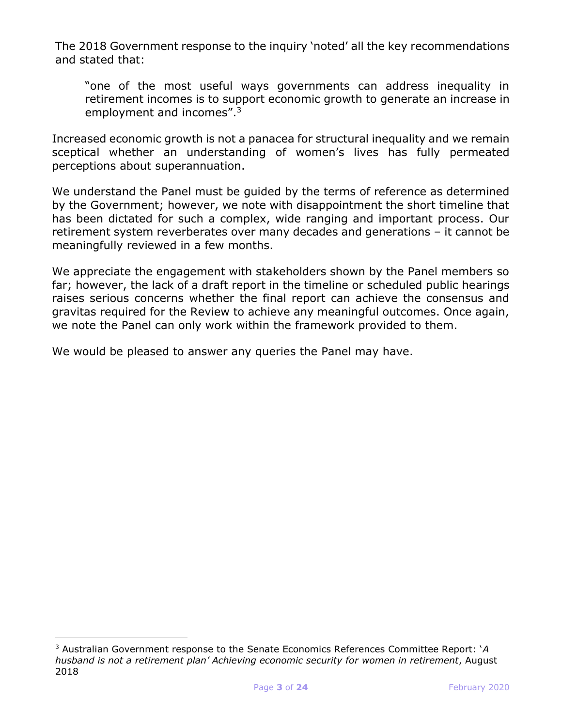The 2018 Government response to the inquiry 'noted' all the key recommendations and stated that:

"one of the most useful ways governments can address inequality in retirement incomes is to support economic growth to generate an increase in employment and incomes".<sup>3</sup>

Increased economic growth is not a panacea for structural inequality and we remain sceptical whether an understanding of women's lives has fully permeated perceptions about superannuation.

We understand the Panel must be guided by the terms of reference as determined by the Government; however, we note with disappointment the short timeline that has been dictated for such a complex, wide ranging and important process. Our retirement system reverberates over many decades and generations – it cannot be meaningfully reviewed in a few months.

We appreciate the engagement with stakeholders shown by the Panel members so far; however, the lack of a draft report in the timeline or scheduled public hearings raises serious concerns whether the final report can achieve the consensus and gravitas required for the Review to achieve any meaningful outcomes. Once again, we note the Panel can only work within the framework provided to them.

We would be pleased to answer any queries the Panel may have.

<sup>3</sup> Australian Government response to the Senate Economics References Committee Report: '*A husband is not a retirement plan' Achieving economic security for women in retirement*, August 2018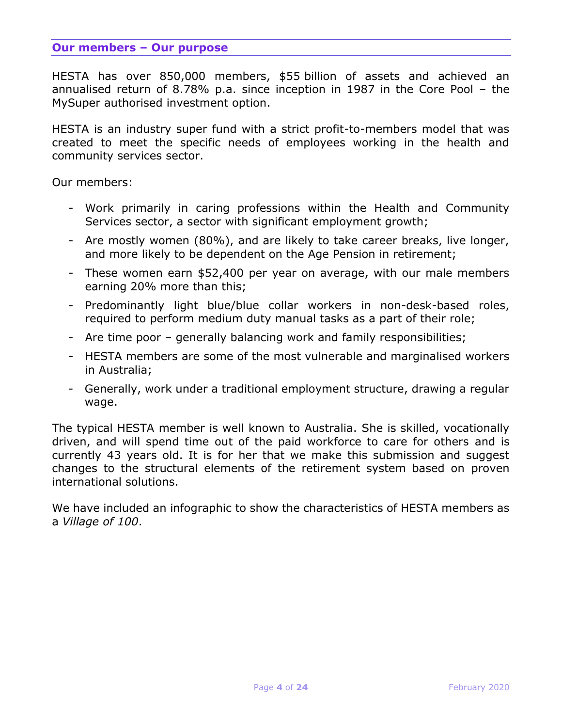#### **Our members – Our purpose**

HESTA has over 850,000 members, \$55 billion of assets and achieved an annualised return of 8.78% p.a. since inception in 1987 in the Core Pool – the MySuper authorised investment option.

HESTA is an industry super fund with a strict profit-to-members model that was created to meet the specific needs of employees working in the health and community services sector.

Our members:

- Work primarily in caring professions within the Health and Community Services sector, a sector with significant employment growth;
- Are mostly women (80%), and are likely to take career breaks, live longer, and more likely to be dependent on the Age Pension in retirement;
- These women earn \$52,400 per year on average, with our male members earning 20% more than this;
- Predominantly light blue/blue collar workers in non-desk-based roles, required to perform medium duty manual tasks as a part of their role;
- Are time poor generally balancing work and family responsibilities;
- HESTA members are some of the most vulnerable and marginalised workers in Australia;
- Generally, work under a traditional employment structure, drawing a regular wage.

The typical HESTA member is well known to Australia. She is skilled, vocationally driven, and will spend time out of the paid workforce to care for others and is currently 43 years old. It is for her that we make this submission and suggest changes to the structural elements of the retirement system based on proven international solutions.

We have included an infographic to show the characteristics of HESTA members as a *Village of 100*.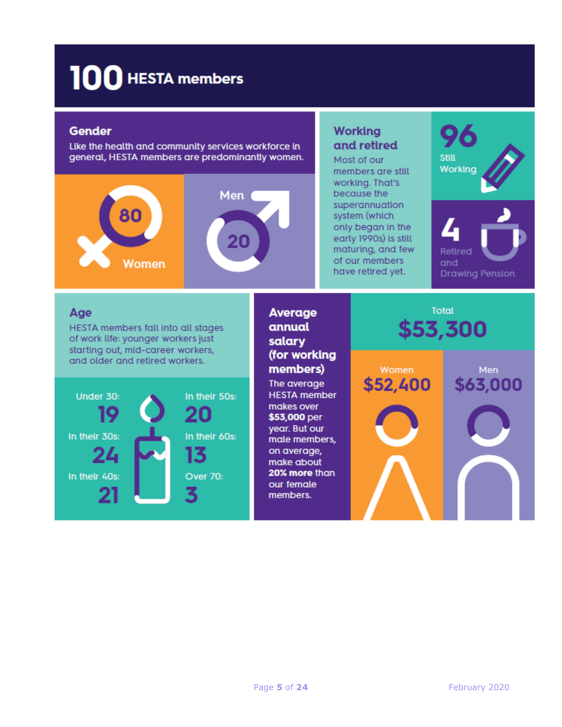# 100 HESTA members

#### **Gender**

Like the health and community services workforce in general, HESTA members are predominantly women.



# **Working** and retired

Most of our members are still working. That's because the superannuation system (which only began in the early 1990s) is still maturing, and few of our members have retired yet.



# Age

HESTA members fall into all stages of work life: younger workers just starting out, mid-career workers, and older and retired workers.



# **Average** annual salary (for working members)

The average **HESTA** member makes over \$53,000 per year. But our male members, on average, make about 20% more than our female members.



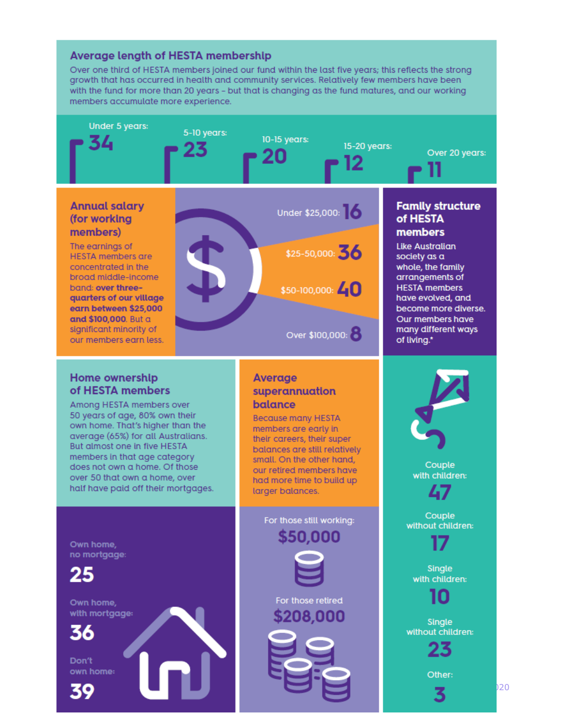#### **Average length of HESTA membership**

Over one third of HESTA members joined our fund within the last five years; this reflects the strong growth that has occurred in health and community services. Relatively few members have been with the fund for more than 20 years - but that is changing as the fund matures, and our working members accumulate more experience.

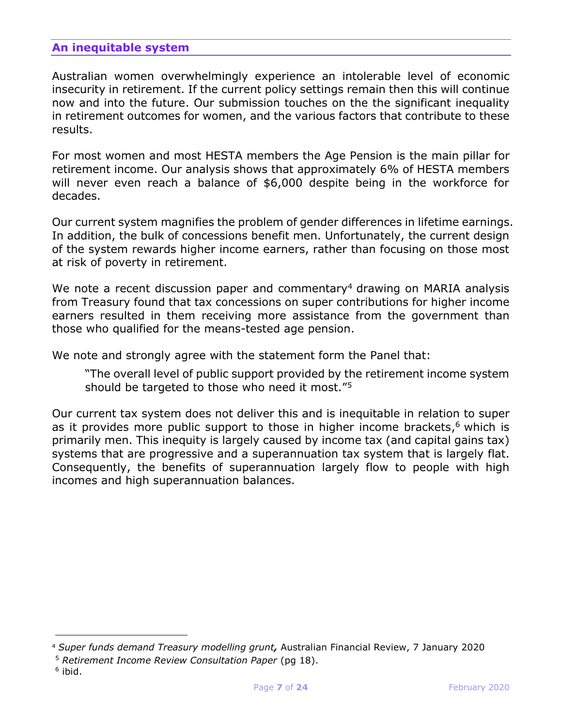# **An inequitable system**

Australian women overwhelmingly experience an intolerable level of economic insecurity in retirement. If the current policy settings remain then this will continue now and into the future. Our submission touches on the the significant inequality in retirement outcomes for women, and the various factors that contribute to these results.

For most women and most HESTA members the Age Pension is the main pillar for retirement income. Our analysis shows that approximately 6% of HESTA members will never even reach a balance of \$6,000 despite being in the workforce for decades.

Our current system magnifies the problem of gender differences in lifetime earnings. In addition, the bulk of concessions benefit men. Unfortunately, the current design of the system rewards higher income earners, rather than focusing on those most at risk of poverty in retirement.

We note a recent discussion paper and commentary<sup>4</sup> drawing on MARIA analysis from Treasury found that tax concessions on super contributions for higher income earners resulted in them receiving more assistance from the government than those who qualified for the means-tested age pension.

We note and strongly agree with the statement form the Panel that:

"The overall level of public support provided by the retirement income system should be targeted to those who need it most."<sup>5</sup>

Our current tax system does not deliver this and is inequitable in relation to super as it provides more public support to those in higher income brackets,<sup>6</sup> which is primarily men. This inequity is largely caused by income tax (and capital gains tax) systems that are progressive and a superannuation tax system that is largely flat. Consequently, the benefits of superannuation largely flow to people with high incomes and high superannuation balances.

<sup>4</sup> *Super funds demand Treasury modelling grunt,* Australian Financial Review, 7 January 2020

<sup>5</sup> *Retirement Income Review Consultation Paper* (pg 18).

<sup>&</sup>lt;sup>6</sup> ibid.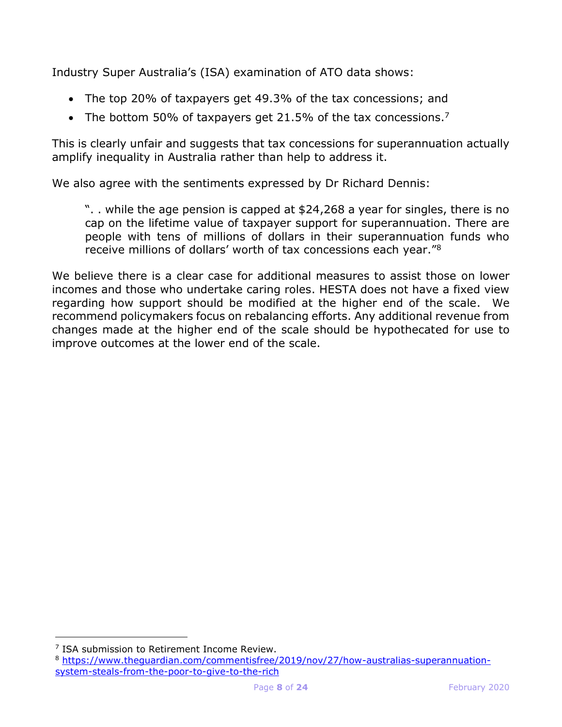Industry Super Australia's (ISA) examination of ATO data shows:

- The top 20% of taxpayers get 49.3% of the tax concessions; and
- The bottom 50% of taxpayers get 21.5% of the tax concessions.<sup>7</sup>

This is clearly unfair and suggests that tax concessions for superannuation actually amplify inequality in Australia rather than help to address it.

We also agree with the sentiments expressed by Dr Richard Dennis:

". . while the age pension is capped at \$24,268 a year for singles, there is no cap on the lifetime value of taxpayer support for superannuation. There are people with tens of millions of dollars in their superannuation funds who receive millions of dollars' worth of tax concessions each year."<sup>8</sup>

We believe there is a clear case for additional measures to assist those on lower incomes and those who undertake caring roles. HESTA does not have a fixed view regarding how support should be modified at the higher end of the scale. We recommend policymakers focus on rebalancing efforts. Any additional revenue from changes made at the higher end of the scale should be hypothecated for use to improve outcomes at the lower end of the scale.

<sup>&</sup>lt;sup>7</sup> ISA submission to Retirement Income Review.

<sup>8</sup> [https://www.theguardian.com/commentisfree/2019/nov/27/how-australias-superannuation](https://www.theguardian.com/commentisfree/2019/nov/27/how-australias-superannuation-system-steals-from-the-poor-to-give-to-the-rich)[system-steals-from-the-poor-to-give-to-the-rich](https://www.theguardian.com/commentisfree/2019/nov/27/how-australias-superannuation-system-steals-from-the-poor-to-give-to-the-rich)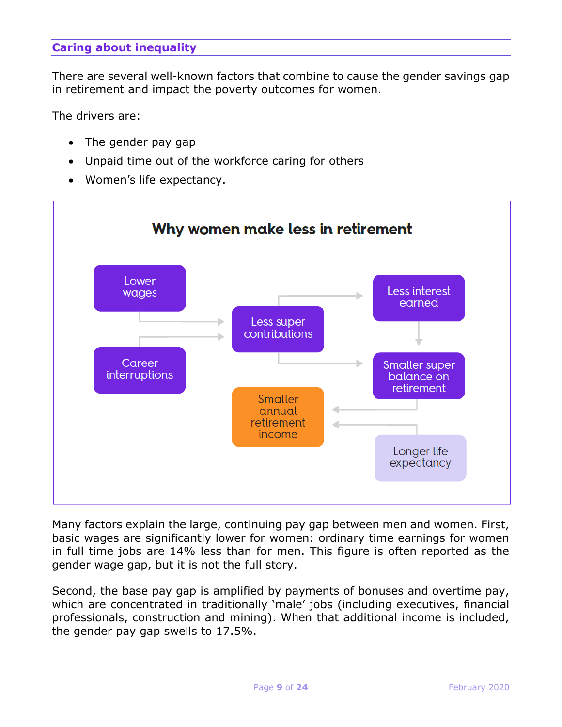# **Caring about inequality**

There are several well-known factors that combine to cause the gender savings gap in retirement and impact the poverty outcomes for women.

The drivers are:

- The gender pay gap
- Unpaid time out of the workforce caring for others
- Women's life expectancy.



Many factors explain the large, continuing pay gap between men and women. First, basic wages are significantly lower for women: ordinary time earnings for women in full time jobs are 14% less than for men. This figure is often reported as the gender wage gap, but it is not the full story.

Second, the base pay gap is amplified by payments of bonuses and overtime pay, which are concentrated in traditionally 'male' jobs (including executives, financial professionals, construction and mining). When that additional income is included, the gender pay gap swells to 17.5%.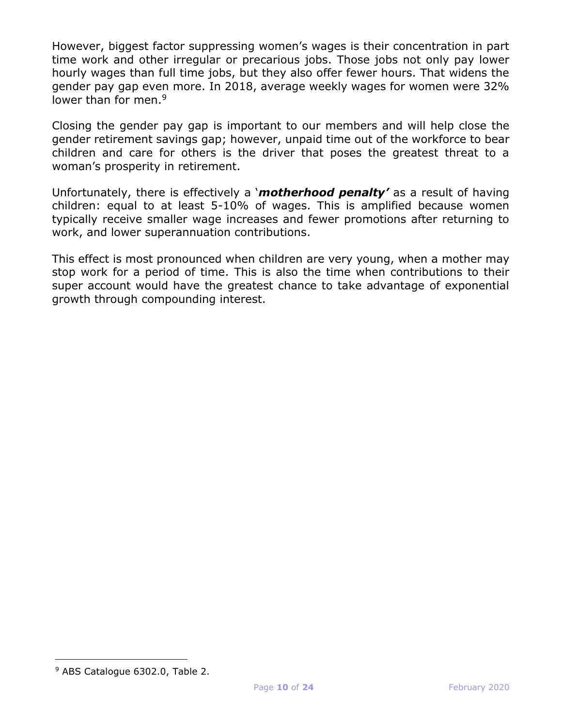However, biggest factor suppressing women's wages is their concentration in part time work and other irregular or precarious jobs. Those jobs not only pay lower hourly wages than full time jobs, but they also offer fewer hours. That widens the gender pay gap even more. In 2018, average weekly wages for women were 32% lower than for men.<sup>9</sup>

Closing the gender pay gap is important to our members and will help close the gender retirement savings gap; however, unpaid time out of the workforce to bear children and care for others is the driver that poses the greatest threat to a woman's prosperity in retirement.

Unfortunately, there is effectively a '*motherhood penalty'* as a result of having children: equal to at least 5-10% of wages. This is amplified because women typically receive smaller wage increases and fewer promotions after returning to work, and lower superannuation contributions.

This effect is most pronounced when children are very young, when a mother may stop work for a period of time. This is also the time when contributions to their super account would have the greatest chance to take advantage of exponential growth through compounding interest.

<sup>9</sup> ABS Catalogue 6302.0, Table 2.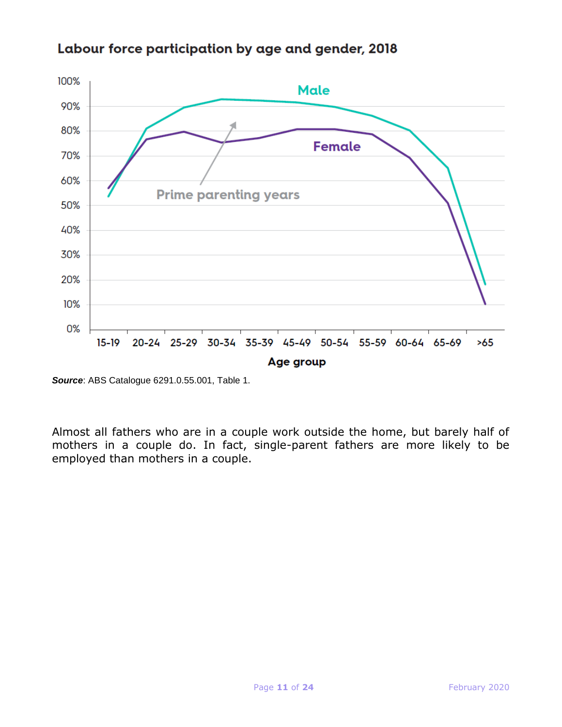

# Labour force participation by age and gender, 2018

*Source*: ABS Catalogue 6291.0.55.001, Table 1.

Almost all fathers who are in a couple work outside the home, but barely half of mothers in a couple do. In fact, single-parent fathers are more likely to be employed than mothers in a couple.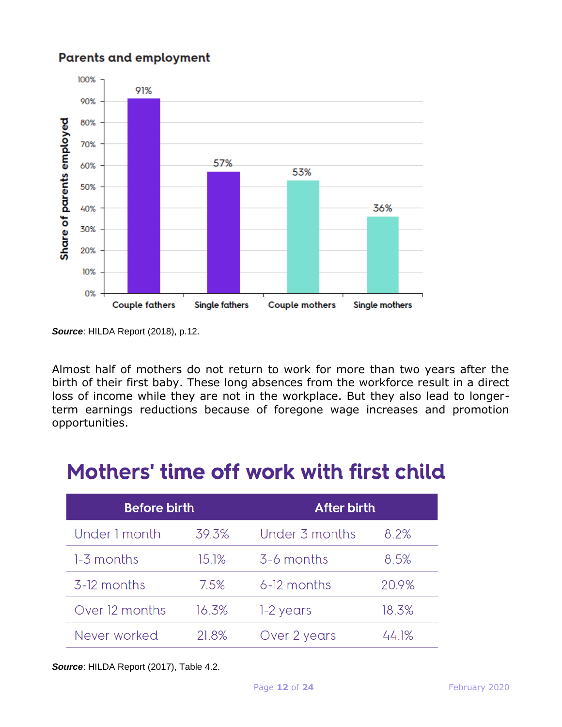# **Parents and employment**



*Source*: HILDA Report (2018), p.12.

Almost half of mothers do not return to work for more than two years after the birth of their first baby. These long absences from the workforce result in a direct loss of income while they are not in the workplace. But they also lead to longerterm earnings reductions because of foregone wage increases and promotion opportunities.

# Mothers' time off work with first child

| <b>Before birth</b> |       | <b>After birth</b> |       |
|---------------------|-------|--------------------|-------|
| Under 1 month       | 39.3% | Under 3 months     | 8.2%  |
| 1-3 months          | 15.1% | 3-6 months         | 8.5%  |
| 3-12 months         | 7.5%  | 6-12 months        | 20.9% |
| Over 12 months      | 16.3% | 1-2 years          | 18.3% |
| Never worked        | 21.8% | Over 2 years       | 44.1% |

*Source*: HILDA Report (2017), Table 4.2.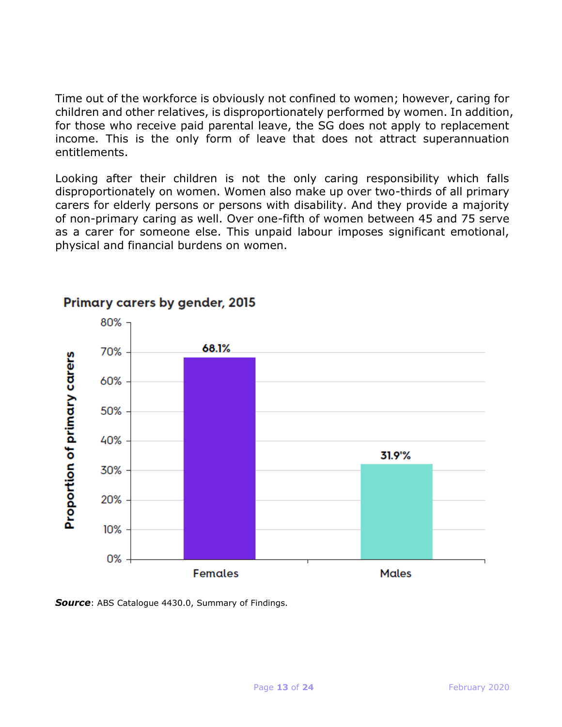Time out of the workforce is obviously not confined to women; however, caring for children and other relatives, is disproportionately performed by women. In addition, for those who receive paid parental leave, the SG does not apply to replacement income. This is the only form of leave that does not attract superannuation entitlements.

Looking after their children is not the only caring responsibility which falls disproportionately on women. Women also make up over two-thirds of all primary carers for elderly persons or persons with disability. And they provide a majority of non-primary caring as well. Over one-fifth of women between 45 and 75 serve as a carer for someone else. This unpaid labour imposes significant emotional, physical and financial burdens on women.



# Primary carers by gender, 2015

*Source*: ABS Catalogue 4430.0, Summary of Findings.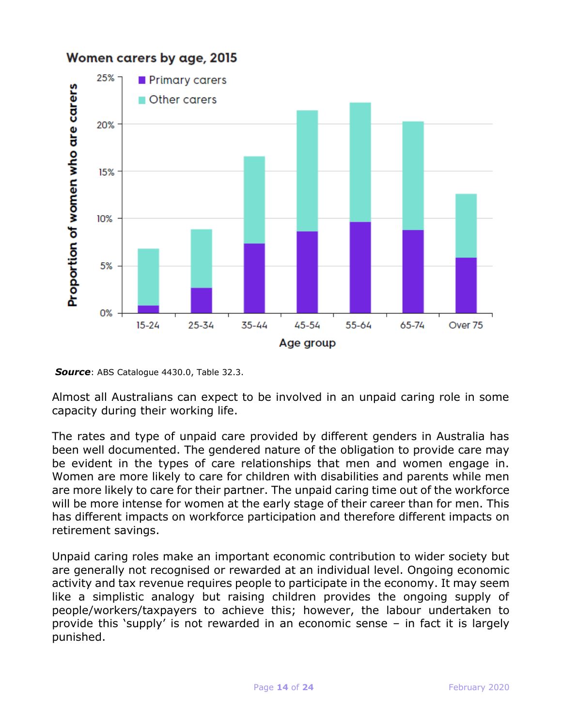

Women carers by age, 2015

*Source*: ABS Catalogue 4430.0, Table 32.3.

Almost all Australians can expect to be involved in an unpaid caring role in some capacity during their working life.

The rates and type of unpaid care provided by different genders in Australia has been well documented. The gendered nature of the obligation to provide care may be evident in the types of care relationships that men and women engage in. Women are more likely to care for children with disabilities and parents while men are more likely to care for their partner. The unpaid caring time out of the workforce will be more intense for women at the early stage of their career than for men. This has different impacts on workforce participation and therefore different impacts on retirement savings.

Unpaid caring roles make an important economic contribution to wider society but are generally not recognised or rewarded at an individual level. Ongoing economic activity and tax revenue requires people to participate in the economy. It may seem like a simplistic analogy but raising children provides the ongoing supply of people/workers/taxpayers to achieve this; however, the labour undertaken to provide this 'supply' is not rewarded in an economic sense – in fact it is largely punished.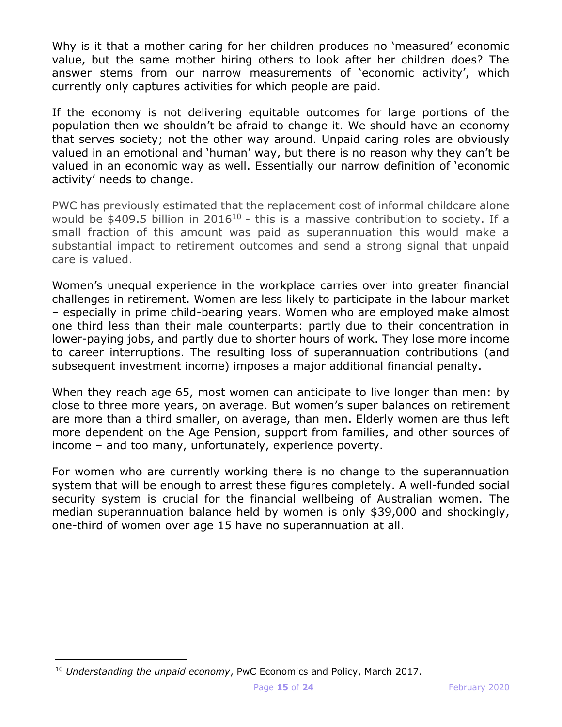Why is it that a mother caring for her children produces no 'measured' economic value, but the same mother hiring others to look after her children does? The answer stems from our narrow measurements of 'economic activity', which currently only captures activities for which people are paid.

If the economy is not delivering equitable outcomes for large portions of the population then we shouldn't be afraid to change it. We should have an economy that serves society; not the other way around. Unpaid caring roles are obviously valued in an emotional and 'human' way, but there is no reason why they can't be valued in an economic way as well. Essentially our narrow definition of 'economic activity' needs to change.

PWC has previously estimated that the replacement cost of informal childcare alone would be  $$409.5$  billion in 2016<sup>10</sup> - this is a massive contribution to society. If a small fraction of this amount was paid as superannuation this would make a substantial impact to retirement outcomes and send a strong signal that unpaid care is valued.

Women's unequal experience in the workplace carries over into greater financial challenges in retirement. Women are less likely to participate in the labour market – especially in prime child-bearing years. Women who are employed make almost one third less than their male counterparts: partly due to their concentration in lower-paying jobs, and partly due to shorter hours of work. They lose more income to career interruptions. The resulting loss of superannuation contributions (and subsequent investment income) imposes a major additional financial penalty.

When they reach age 65, most women can anticipate to live longer than men: by close to three more years, on average. But women's super balances on retirement are more than a third smaller, on average, than men. Elderly women are thus left more dependent on the Age Pension, support from families, and other sources of income – and too many, unfortunately, experience poverty.

For women who are currently working there is no change to the superannuation system that will be enough to arrest these figures completely. A well-funded social security system is crucial for the financial wellbeing of Australian women. The median superannuation balance held by women is only \$39,000 and shockingly, one-third of women over age 15 have no superannuation at all.

<sup>10</sup> *Understanding the unpaid economy*, PwC Economics and Policy, March 2017.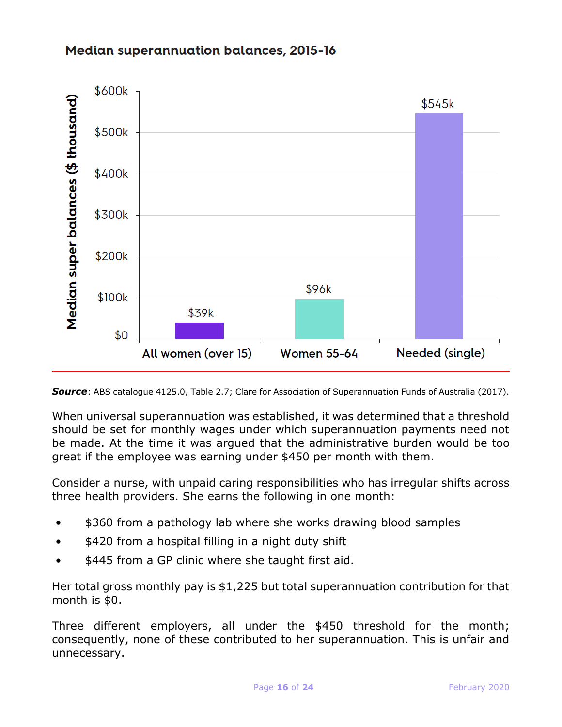# **Median superannuation balances, 2015-16**



*Source*: ABS catalogue 4125.0, Table 2.7; Clare for Association of Superannuation Funds of Australia (2017).

When universal superannuation was established, it was determined that a threshold should be set for monthly wages under which superannuation payments need not be made. At the time it was argued that the administrative burden would be too great if the employee was earning under \$450 per month with them.

Consider a nurse, with unpaid caring responsibilities who has irregular shifts across three health providers. She earns the following in one month:

- \$360 from a pathology lab where she works drawing blood samples
- \$420 from a hospital filling in a night duty shift
- \$445 from a GP clinic where she taught first aid.

Her total gross monthly pay is \$1,225 but total superannuation contribution for that month is \$0.

Three different employers, all under the \$450 threshold for the month; consequently, none of these contributed to her superannuation. This is unfair and unnecessary.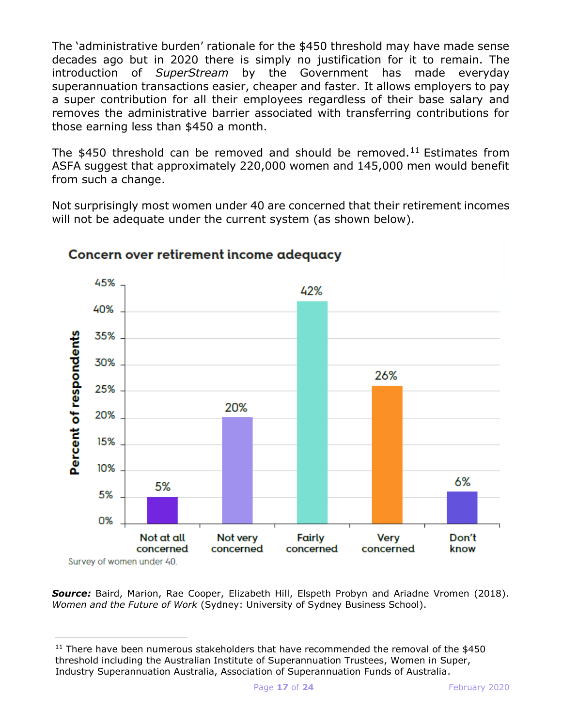The 'administrative burden' rationale for the \$450 threshold may have made sense decades ago but in 2020 there is simply no justification for it to remain. The introduction of *SuperStream* by the Government has made everyday superannuation transactions easier, cheaper and faster. It allows employers to pay a super contribution for all their employees regardless of their base salary and removes the administrative barrier associated with transferring contributions for those earning less than \$450 a month.

The \$450 threshold can be removed and should be removed.<sup>11</sup> Estimates from ASFA suggest that approximately 220,000 women and 145,000 men would benefit from such a change.

Not surprisingly most women under 40 are concerned that their retirement incomes will not be adequate under the current system (as shown below).



# Concern over retirement income adequacy

*Source:* Baird, Marion, Rae Cooper, Elizabeth Hill, Elspeth Probyn and Ariadne Vromen (2018). *Women and the Future of Work* (Sydney: University of Sydney Business School).

 $11$  There have been numerous stakeholders that have recommended the removal of the \$450 threshold including the Australian Institute of Superannuation Trustees, Women in Super, Industry Superannuation Australia, Association of Superannuation Funds of Australia.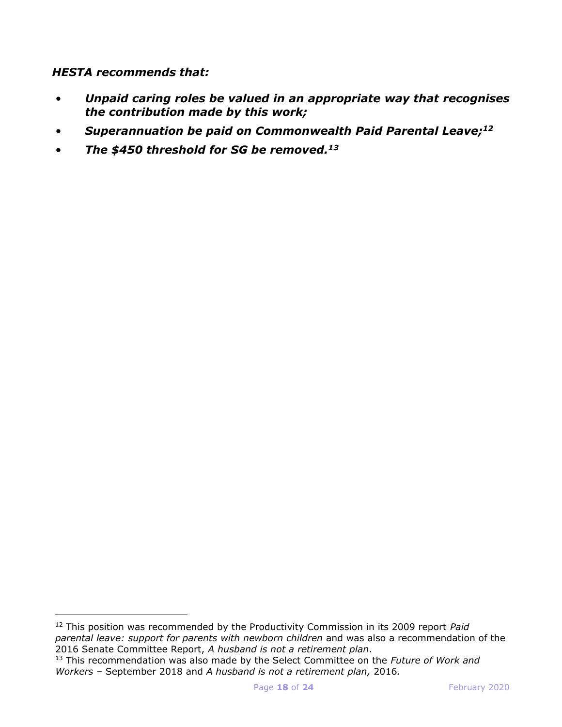*HESTA recommends that:*

- *Unpaid caring roles be valued in an appropriate way that recognises the contribution made by this work;*
- *Superannuation be paid on Commonwealth Paid Parental Leave; 12*
- *The \$450 threshold for SG be removed.<sup>13</sup>*

<sup>12</sup> This position was recommended by the Productivity Commission in its 2009 report *Paid parental leave: support for parents with newborn children* and was also a recommendation of the 2016 Senate Committee Report, *A husband is not a retirement plan*.

<sup>13</sup> This recommendation was also made by the Select Committee on the *Future of Work and Workers* – September 2018 and *A husband is not a retirement plan,* 2016*.*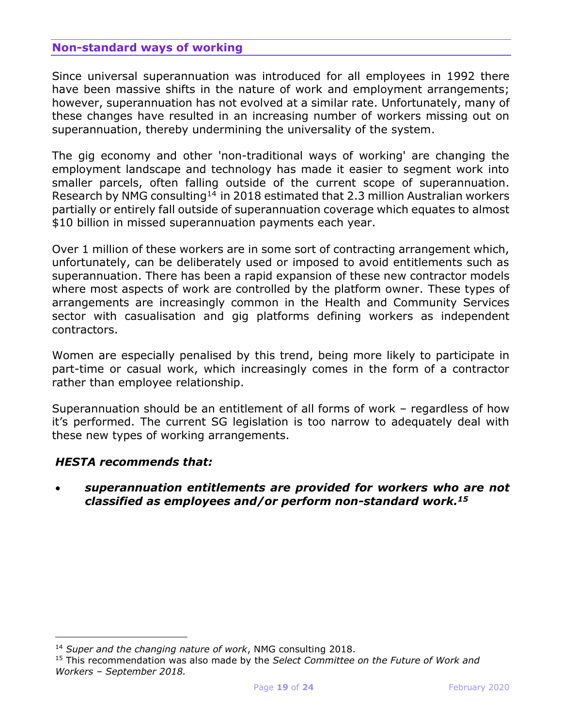# **Non-standard ways of working**

Since universal superannuation was introduced for all employees in 1992 there have been massive shifts in the nature of work and employment arrangements; however, superannuation has not evolved at a similar rate. Unfortunately, many of these changes have resulted in an increasing number of workers missing out on superannuation, thereby undermining the universality of the system.

The gig economy and other 'non-traditional ways of working' are changing the employment landscape and technology has made it easier to segment work into smaller parcels, often falling outside of the current scope of superannuation. Research by NMG consulting<sup>14</sup> in 2018 estimated that 2.3 million Australian workers partially or entirely fall outside of superannuation coverage which equates to almost \$10 billion in missed superannuation payments each year.

Over 1 million of these workers are in some sort of contracting arrangement which, unfortunately, can be deliberately used or imposed to avoid entitlements such as superannuation. There has been a rapid expansion of these new contractor models where most aspects of work are controlled by the platform owner. These types of arrangements are increasingly common in the Health and Community Services sector with casualisation and gig platforms defining workers as independent contractors.

Women are especially penalised by this trend, being more likely to participate in part-time or casual work, which increasingly comes in the form of a contractor rather than employee relationship.

Superannuation should be an entitlement of all forms of work – regardless of how it's performed. The current SG legislation is too narrow to adequately deal with these new types of working arrangements.

### *HESTA recommends that:*

i<br>I

• *superannuation entitlements are provided for workers who are not classified as employees and/or perform non-standard work.<sup>15</sup>*

<sup>14</sup> *Super and the changing nature of work*, NMG consulting 2018.

<sup>15</sup> This recommendation was also made by the *Select Committee on the Future of Work and Workers – September 2018.*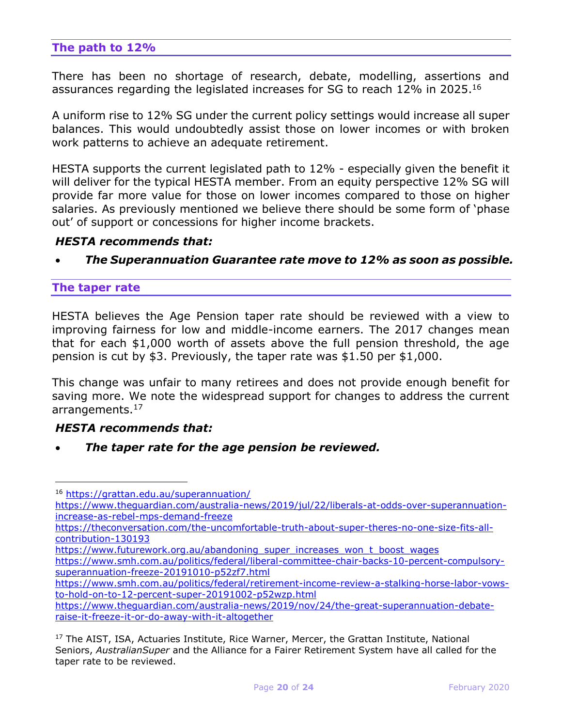# **The path to 12%**

There has been no shortage of research, debate, modelling, assertions and assurances regarding the legislated increases for SG to reach 12% in 2025.<sup>16</sup>

A uniform rise to 12% SG under the current policy settings would increase all super balances. This would undoubtedly assist those on lower incomes or with broken work patterns to achieve an adequate retirement.

HESTA supports the current legislated path to 12% - especially given the benefit it will deliver for the typical HESTA member. From an equity perspective 12% SG will provide far more value for those on lower incomes compared to those on higher salaries. As previously mentioned we believe there should be some form of 'phase out' of support or concessions for higher income brackets.

#### *HESTA recommends that:*

• *The Superannuation Guarantee rate move to 12% as soon as possible.*

#### **The taper rate**

i<br>I

HESTA believes the Age Pension taper rate should be reviewed with a view to improving fairness for low and middle-income earners. The 2017 changes mean that for each \$1,000 worth of assets above the full pension threshold, the age pension is cut by \$3. Previously, the taper rate was \$1.50 per \$1,000.

This change was unfair to many retirees and does not provide enough benefit for saving more. We note the widespread support for changes to address the current arrangements.<sup>17</sup>

### *HESTA recommends that:*

• *The taper rate for the age pension be reviewed.*

[https://www.futurework.org.au/abandoning\\_super\\_increases\\_won\\_t\\_boost\\_wages](https://www.futurework.org.au/abandoning_super_increases_won_t_boost_wages)

<sup>16</sup> <https://grattan.edu.au/superannuation/>

[https://www.theguardian.com/australia-news/2019/jul/22/liberals-at-odds-over-superannuation](https://www.theguardian.com/australia-news/2019/jul/22/liberals-at-odds-over-superannuation-increase-as-rebel-mps-demand-freeze)[increase-as-rebel-mps-demand-freeze](https://www.theguardian.com/australia-news/2019/jul/22/liberals-at-odds-over-superannuation-increase-as-rebel-mps-demand-freeze)

[https://theconversation.com/the-uncomfortable-truth-about-super-theres-no-one-size-fits-all](https://theconversation.com/the-uncomfortable-truth-about-super-theres-no-one-size-fits-all-contribution-130193)[contribution-130193](https://theconversation.com/the-uncomfortable-truth-about-super-theres-no-one-size-fits-all-contribution-130193)

[https://www.smh.com.au/politics/federal/liberal-committee-chair-backs-10-percent-compulsory](https://www.smh.com.au/politics/federal/liberal-committee-chair-backs-10-percent-compulsory-superannuation-freeze-20191010-p52zf7.html)[superannuation-freeze-20191010-p52zf7.html](https://www.smh.com.au/politics/federal/liberal-committee-chair-backs-10-percent-compulsory-superannuation-freeze-20191010-p52zf7.html)

[https://www.smh.com.au/politics/federal/retirement-income-review-a-stalking-horse-labor-vows](https://www.smh.com.au/politics/federal/retirement-income-review-a-stalking-horse-labor-vows-to-hold-on-to-12-percent-super-20191002-p52wzp.html)[to-hold-on-to-12-percent-super-20191002-p52wzp.html](https://www.smh.com.au/politics/federal/retirement-income-review-a-stalking-horse-labor-vows-to-hold-on-to-12-percent-super-20191002-p52wzp.html)

[https://www.theguardian.com/australia-news/2019/nov/24/the-great-superannuation-debate](https://www.theguardian.com/australia-news/2019/nov/24/the-great-superannuation-debate-raise-it-freeze-it-or-do-away-with-it-altogether)[raise-it-freeze-it-or-do-away-with-it-altogether](https://www.theguardian.com/australia-news/2019/nov/24/the-great-superannuation-debate-raise-it-freeze-it-or-do-away-with-it-altogether)

<sup>&</sup>lt;sup>17</sup> The AIST, ISA, Actuaries Institute, Rice Warner, Mercer, the Grattan Institute, National Seniors, *AustralianSuper* and the Alliance for a Fairer Retirement System have all called for the taper rate to be reviewed.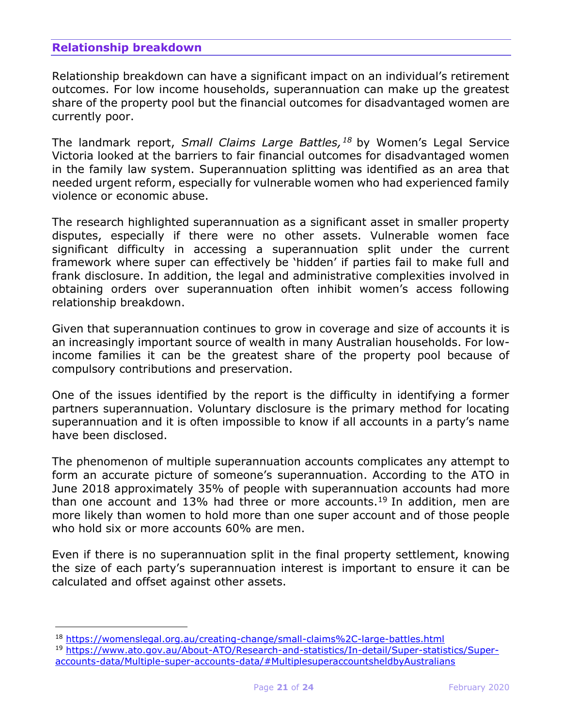# **Relationship breakdown**

i<br>I

Relationship breakdown can have a significant impact on an individual's retirement outcomes. For low income households, superannuation can make up the greatest share of the property pool but the financial outcomes for disadvantaged women are currently poor.

The landmark report, *Small Claims Large Battles,<sup>18</sup>* by Women's Legal Service Victoria looked at the barriers to fair financial outcomes for disadvantaged women in the family law system. Superannuation splitting was identified as an area that needed urgent reform, especially for vulnerable women who had experienced family violence or economic abuse.

The research highlighted superannuation as a significant asset in smaller property disputes, especially if there were no other assets. Vulnerable women face significant difficulty in accessing a superannuation split under the current framework where super can effectively be 'hidden' if parties fail to make full and frank disclosure. In addition, the legal and administrative complexities involved in obtaining orders over superannuation often inhibit women's access following relationship breakdown.

Given that superannuation continues to grow in coverage and size of accounts it is an increasingly important source of wealth in many Australian households. For lowincome families it can be the greatest share of the property pool because of compulsory contributions and preservation.

One of the issues identified by the report is the difficulty in identifying a former partners superannuation. Voluntary disclosure is the primary method for locating superannuation and it is often impossible to know if all accounts in a party's name have been disclosed.

The phenomenon of multiple superannuation accounts complicates any attempt to form an accurate picture of someone's superannuation. According to the ATO in June 2018 approximately 35% of people with superannuation accounts had more than one account and 13% had three or more accounts.<sup>19</sup> In addition, men are more likely than women to hold more than one super account and of those people who hold six or more accounts 60% are men.

Even if there is no superannuation split in the final property settlement, knowing the size of each party's superannuation interest is important to ensure it can be calculated and offset against other assets.

<sup>18</sup> <https://womenslegal.org.au/creating-change/small-claims%2C-large-battles.html>

<sup>19</sup> [https://www.ato.gov.au/About-ATO/Research-and-statistics/In-detail/Super-statistics/Super](https://www.ato.gov.au/About-ATO/Research-and-statistics/In-detail/Super-statistics/Super-accounts-data/Multiple-super-accounts-data/#MultiplesuperaccountsheldbyAustralians)[accounts-data/Multiple-super-accounts-data/#MultiplesuperaccountsheldbyAustralians](https://www.ato.gov.au/About-ATO/Research-and-statistics/In-detail/Super-statistics/Super-accounts-data/Multiple-super-accounts-data/#MultiplesuperaccountsheldbyAustralians)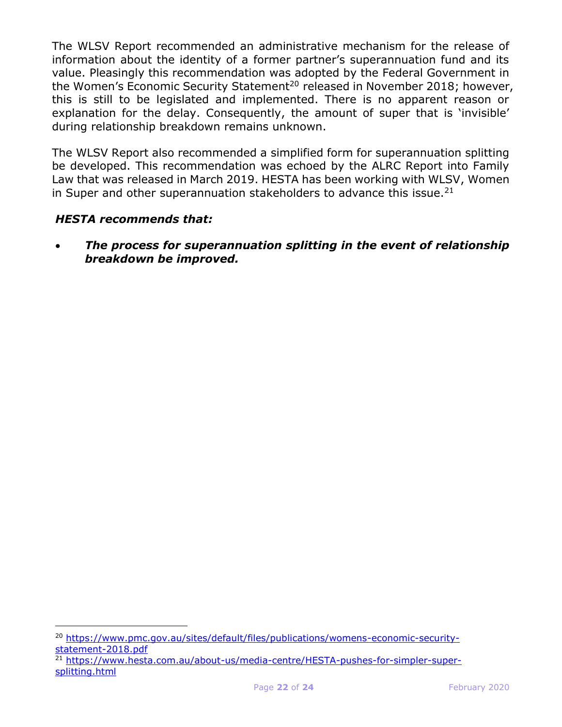The WLSV Report recommended an administrative mechanism for the release of information about the identity of a former partner's superannuation fund and its value. Pleasingly this recommendation was adopted by the Federal Government in the Women's Economic Security Statement<sup>20</sup> released in November 2018; however, this is still to be legislated and implemented. There is no apparent reason or explanation for the delay. Consequently, the amount of super that is 'invisible' during relationship breakdown remains unknown.

The WLSV Report also recommended a simplified form for superannuation splitting be developed. This recommendation was echoed by the ALRC Report into Family Law that was released in March 2019. HESTA has been working with WLSV, Women in Super and other superannuation stakeholders to advance this issue. $21$ 

# *HESTA recommends that:*

i<br>I

• *The process for superannuation splitting in the event of relationship breakdown be improved.*

<sup>20</sup> [https://www.pmc.gov.au/sites/default/files/publications/womens-economic-security](https://www.pmc.gov.au/sites/default/files/publications/womens-economic-security-statement-2018.pdf)[statement-2018.pdf](https://www.pmc.gov.au/sites/default/files/publications/womens-economic-security-statement-2018.pdf)

<sup>21</sup> [https://www.hesta.com.au/about-us/media-centre/HESTA-pushes-for-simpler-super](https://www.hesta.com.au/about-us/media-centre/HESTA-pushes-for-simpler-super-splitting.html)[splitting.html](https://www.hesta.com.au/about-us/media-centre/HESTA-pushes-for-simpler-super-splitting.html)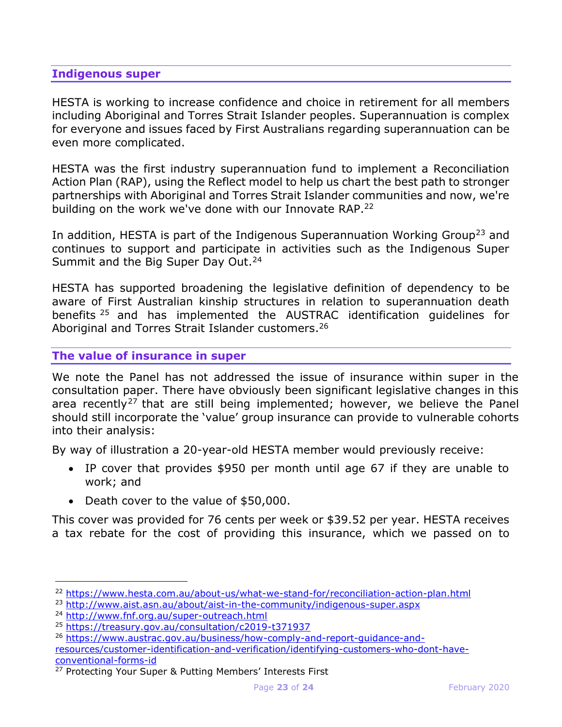# **Indigenous super**

HESTA is working to increase confidence and choice in retirement for all members including Aboriginal and Torres Strait Islander peoples. Superannuation is complex for everyone and issues faced by First Australians regarding superannuation can be even more complicated.

HESTA was the first industry superannuation fund to implement a Reconciliation Action Plan (RAP), using the Reflect model to help us chart the best path to stronger partnerships with Aboriginal and Torres Strait Islander communities and now, we're building on the work we've done with our Innovate RAP.<sup>22</sup>

In addition, HESTA is part of the Indigenous Superannuation Working Group<sup>23</sup> and continues to support and participate in activities such as the Indigenous Super Summit and the Big Super Day Out.<sup>24</sup>

HESTA has supported broadening the legislative definition of dependency to be aware of First Australian kinship structures in relation to superannuation death benefits <sup>25</sup> and has implemented the AUSTRAC identification guidelines for Aboriginal and Torres Strait Islander customers.<sup>26</sup>

### **The value of insurance in super**

We note the Panel has not addressed the issue of insurance within super in the consultation paper. There have obviously been significant legislative changes in this area recently<sup>27</sup> that are still being implemented; however, we believe the Panel should still incorporate the 'value' group insurance can provide to vulnerable cohorts into their analysis:

By way of illustration a 20-year-old HESTA member would previously receive:

- IP cover that provides \$950 per month until age 67 if they are unable to work; and
- Death cover to the value of \$50,000.

This cover was provided for 76 cents per week or \$39.52 per year. HESTA receives a tax rebate for the cost of providing this insurance, which we passed on to

<sup>22</sup> <https://www.hesta.com.au/about-us/what-we-stand-for/reconciliation-action-plan.html>

<sup>23</sup> <http://www.aist.asn.au/about/aist-in-the-community/indigenous-super.aspx>

<sup>24</sup> <http://www.fnf.org.au/super-outreach.html>

<sup>25</sup> <https://treasury.gov.au/consultation/c2019-t371937>

<sup>26</sup> [https://www.austrac.gov.au/business/how-comply-and-report-guidance-and](https://www.austrac.gov.au/business/how-comply-and-report-guidance-and-resources/customer-identification-and-verification/identifying-customers-who-dont-have-conventional-forms-id)[resources/customer-identification-and-verification/identifying-customers-who-dont-have](https://www.austrac.gov.au/business/how-comply-and-report-guidance-and-resources/customer-identification-and-verification/identifying-customers-who-dont-have-conventional-forms-id)[conventional-forms-id](https://www.austrac.gov.au/business/how-comply-and-report-guidance-and-resources/customer-identification-and-verification/identifying-customers-who-dont-have-conventional-forms-id)

<sup>&</sup>lt;sup>27</sup> Protecting Your Super & Putting Members' Interests First